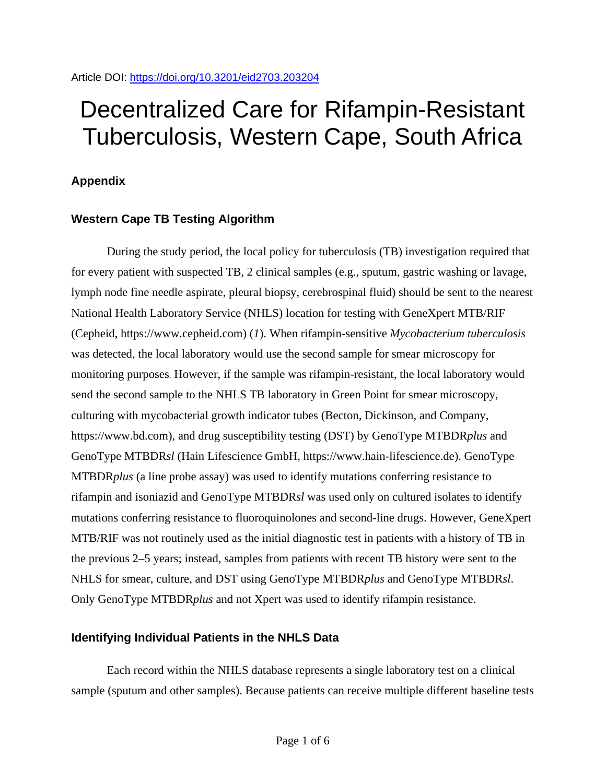# Decentralized Care for Rifampin-Resistant Tuberculosis, Western Cape, South Africa

## **Appendix**

### **Western Cape TB Testing Algorithm**

During the study period, the local policy for tuberculosis (TB) investigation required that for every patient with suspected TB, 2 clinical samples (e.g., sputum, gastric washing or lavage, lymph node fine needle aspirate, pleural biopsy, cerebrospinal fluid) should be sent to the nearest National Health Laboratory Service (NHLS) location for testing with GeneXpert MTB/RIF (Cepheid, https://www.cepheid.com) (*1*). When rifampin-sensitive *Mycobacterium tuberculosis* was detected, the local laboratory would use the second sample for smear microscopy for monitoring purposes. However, if the sample was rifampin-resistant, the local laboratory would send the second sample to the NHLS TB laboratory in Green Point for smear microscopy, culturing with mycobacterial growth indicator tubes (Becton, Dickinson, and Company, https://www.bd.com), and drug susceptibility testing (DST) by GenoType MTBDR*plus* and GenoType MTBDR*sl* (Hain Lifescience GmbH, https://www.hain-lifescience.de). GenoType MTBDR*plus* (a line probe assay) was used to identify mutations conferring resistance to rifampin and isoniazid and GenoType MTBDR*sl* was used only on cultured isolates to identify mutations conferring resistance to fluoroquinolones and second-line drugs. However, GeneXpert MTB/RIF was not routinely used as the initial diagnostic test in patients with a history of TB in the previous 2–5 years; instead, samples from patients with recent TB history were sent to the NHLS for smear, culture, and DST using GenoType MTBDR*plus* and GenoType MTBDR*sl*. Only GenoType MTBDR*plus* and not Xpert was used to identify rifampin resistance.

#### **Identifying Individual Patients in the NHLS Data**

Each record within the NHLS database represents a single laboratory test on a clinical sample (sputum and other samples). Because patients can receive multiple different baseline tests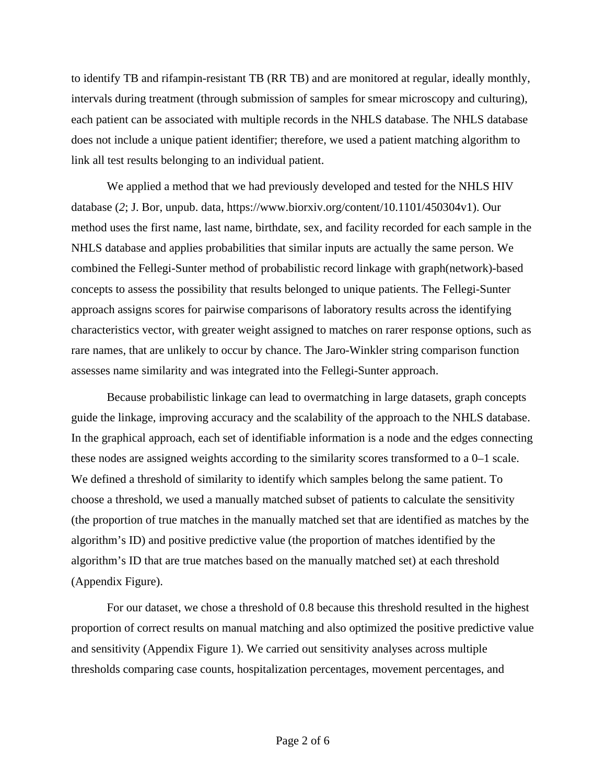to identify TB and rifampin-resistant TB (RR TB) and are monitored at regular, ideally monthly, intervals during treatment (through submission of samples for smear microscopy and culturing), each patient can be associated with multiple records in the NHLS database. The NHLS database does not include a unique patient identifier; therefore, we used a patient matching algorithm to link all test results belonging to an individual patient.

We applied a method that we had previously developed and tested for the NHLS HIV database (*2*; J. Bor, unpub. data, https://www.biorxiv.org/content/10.1101/450304v1). Our method uses the first name, last name, birthdate, sex, and facility recorded for each sample in the NHLS database and applies probabilities that similar inputs are actually the same person. We combined the Fellegi-Sunter method of probabilistic record linkage with graph(network)-based concepts to assess the possibility that results belonged to unique patients. The Fellegi-Sunter approach assigns scores for pairwise comparisons of laboratory results across the identifying characteristics vector, with greater weight assigned to matches on rarer response options, such as rare names, that are unlikely to occur by chance. The Jaro-Winkler string comparison function assesses name similarity and was integrated into the Fellegi-Sunter approach.

Because probabilistic linkage can lead to overmatching in large datasets, graph concepts guide the linkage, improving accuracy and the scalability of the approach to the NHLS database. In the graphical approach, each set of identifiable information is a node and the edges connecting these nodes are assigned weights according to the similarity scores transformed to a 0–1 scale. We defined a threshold of similarity to identify which samples belong the same patient. To choose a threshold, we used a manually matched subset of patients to calculate the sensitivity (the proportion of true matches in the manually matched set that are identified as matches by the algorithm's ID) and positive predictive value (the proportion of matches identified by the algorithm's ID that are true matches based on the manually matched set) at each threshold (Appendix Figure).

For our dataset, we chose a threshold of 0.8 because this threshold resulted in the highest proportion of correct results on manual matching and also optimized the positive predictive value and sensitivity (Appendix Figure 1). We carried out sensitivity analyses across multiple thresholds comparing case counts, hospitalization percentages, movement percentages, and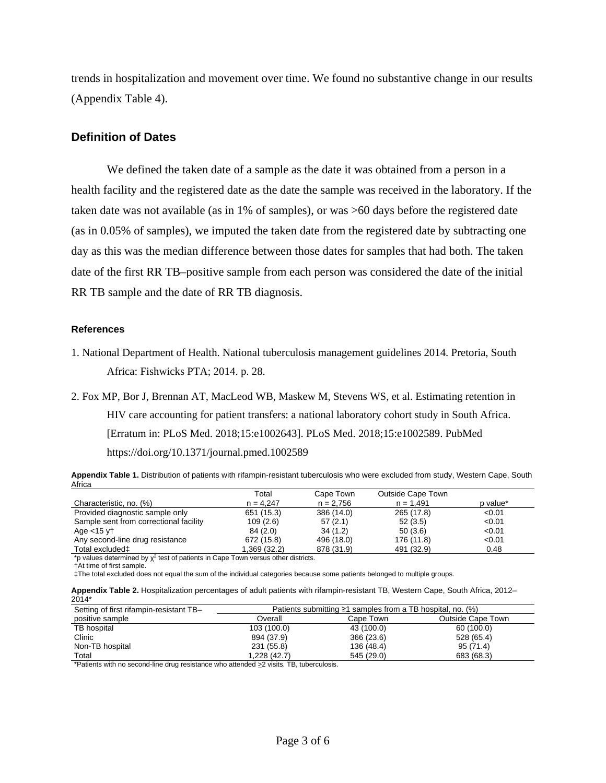trends in hospitalization and movement over time. We found no substantive change in our results (Appendix Table 4).

#### **Definition of Dates**

We defined the taken date of a sample as the date it was obtained from a person in a health facility and the registered date as the date the sample was received in the laboratory. If the taken date was not available (as in 1% of samples), or was >60 days before the registered date (as in 0.05% of samples), we imputed the taken date from the registered date by subtracting one day as this was the median difference between those dates for samples that had both. The taken date of the first RR TB–positive sample from each person was considered the date of the initial RR TB sample and the date of RR TB diagnosis.

#### **References**

1. National Department of Health. National tuberculosis management guidelines 2014. Pretoria, South Africa: Fishwicks PTA; 2014. p. 28.

2. Fox MP, Bor J, Brennan AT, MacLeod WB, Maskew M, Stevens WS, et al. Estimating retention in HIV care accounting for patient transfers: a national laboratory cohort study in South Africa. [Erratum in: PLoS Med. 2018;15:e1002643]. PLoS Med. 2018;15:e1002589. [PubMed](https://www.ncbi.nlm.nih.gov/entrez/query.fcgi?cmd=Retrieve&db=PubMed&list_uids=29889844&dopt=Abstract) <https://doi.org/10.1371/journal.pmed.1002589>

**Appendix Table 1.** Distribution of patients with rifampin-resistant tuberculosis who were excluded from study, Western Cape, South Africa

|                                        | Total        | Cape Town   | <b>Outside Cape Town</b> |          |
|----------------------------------------|--------------|-------------|--------------------------|----------|
| Characteristic, no. (%)                | $n = 4.247$  | $n = 2,756$ | $n = 1.491$              | p value* |
| Provided diagnostic sample only        | 651 (15.3)   | 386 (14.0)  | 265 (17.8)               | < 0.01   |
| Sample sent from correctional facility | 109(2.6)     | 57(2.1)     | 52(3.5)                  | < 0.01   |
| Age $<$ 15 $vt$                        | 84(2.0)      | 34(1.2)     | 50(3.6)                  | < 0.01   |
| Any second-line drug resistance        | 672 (15.8)   | 496 (18.0)  | 176 (11.8)               | < 0.01   |
| Total excluded‡                        | 1,369 (32.2) | 878 (31.9)  | 491 (32.9)               | 0.48     |

\*p values determined by  $\chi^2$  test of patients in Cape Town versus other districts.

‡The total excluded does not equal the sum of the individual categories because some patients belonged to multiple groups.

|       | Appendix Table 2. Hospitalization percentages of adult patients with rifampin-resistant TB, Western Cape, South Africa, 2012– |  |  |  |
|-------|-------------------------------------------------------------------------------------------------------------------------------|--|--|--|
| 2014* |                                                                                                                               |  |  |  |

| Setting of first rifampin-resistant TB- | Patients submitting $\geq 1$ samples from a TB hospital, no. (%) |            |                   |  |  |  |  |
|-----------------------------------------|------------------------------------------------------------------|------------|-------------------|--|--|--|--|
| positive sample                         | Overall                                                          | Cape Town  | Outside Cape Town |  |  |  |  |
| TB hospital                             | 103 (100.0)                                                      | 43 (100.0) | 60 (100.0)        |  |  |  |  |
| Clinic                                  | 894 (37.9)                                                       | 366 (23.6) | 528 (65.4)        |  |  |  |  |
| Non-TB hospital                         | 231 (55.8)                                                       | 136 (48.4) | 95 (71.4)         |  |  |  |  |
| Total                                   | 1.228 (42.7)                                                     | 545 (29.0) | 683 (68.3)        |  |  |  |  |

\*Patients with no second-line drug resistance who attended  $\geq$  visits. TB, tuberculosis.

<sup>†</sup>At time of first sample.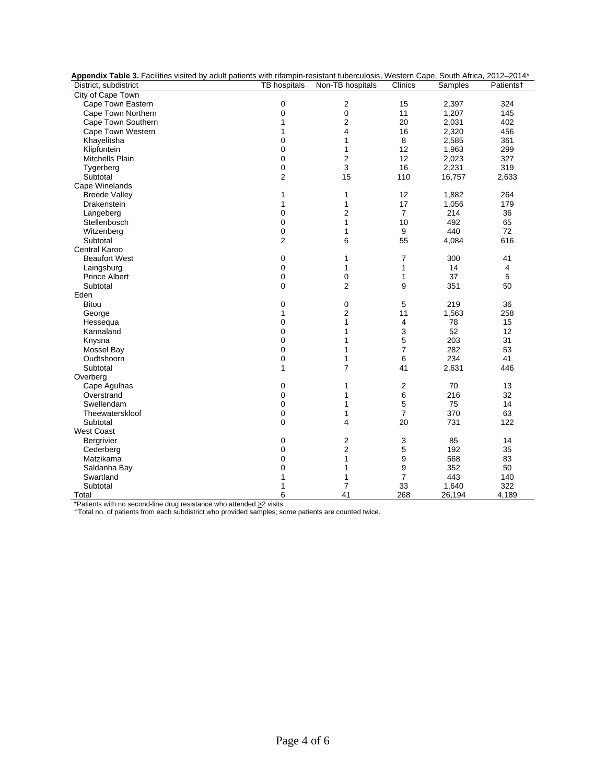| Appendix Table 3. Facilities visited by adult patients with rifampin-resistant tuberculosis, Western Cape, South Africa, 2012-2014* |                |                  |                  |         |           |  |
|-------------------------------------------------------------------------------------------------------------------------------------|----------------|------------------|------------------|---------|-----------|--|
| District, subdistrict                                                                                                               | TB hospitals   | Non-TB hospitals | Clinics          | Samples | Patients† |  |
| City of Cape Town                                                                                                                   |                |                  |                  |         |           |  |
| Cape Town Eastern                                                                                                                   | 0              | 2                | 15               | 2,397   | 324       |  |
| Cape Town Northern                                                                                                                  | 0              | 0                | 11               | 1,207   | 145       |  |
| Cape Town Southern                                                                                                                  | $\mathbf{1}$   | 2                | 20               | 2,031   | 402       |  |
| Cape Town Western                                                                                                                   | $\mathbf{1}$   | 4                | 16               | 2,320   | 456       |  |
| Khayelitsha                                                                                                                         | 0              | 1                | 8                | 2,585   | 361       |  |
| Klipfontein                                                                                                                         | 0              | 1                | 12               | 1,963   | 299       |  |
| Mitchells Plain                                                                                                                     | 0              | 2                | 12               | 2,023   | 327       |  |
| Tygerberg                                                                                                                           | 0              | 3                | 16               | 2,231   | 319       |  |
| Subtotal                                                                                                                            | 2              | 15               | 110              | 16,757  | 2,633     |  |
| Cape Winelands                                                                                                                      |                |                  |                  |         |           |  |
| <b>Breede Valley</b>                                                                                                                | 1              | 1                | 12               | 1,882   | 264       |  |
| Drakenstein                                                                                                                         | $\mathbf{1}$   | 1                | 17               | 1,056   | 179       |  |
| Langeberg                                                                                                                           | 0              | $\overline{2}$   | $\overline{7}$   | 214     | 36        |  |
| Stellenbosch                                                                                                                        | 0              | 1                | 10               | 492     | 65        |  |
| Witzenberg                                                                                                                          | 0              | 1                | 9                | 440     | 72        |  |
| Subtotal                                                                                                                            | $\overline{c}$ | 6                | 55               | 4,084   | 616       |  |
| Central Karoo                                                                                                                       |                |                  |                  |         |           |  |
| <b>Beaufort West</b>                                                                                                                | 0              | 1                | $\overline{7}$   | 300     | 41        |  |
| Laingsburg                                                                                                                          | 0              | 1                | 1                | 14      | 4         |  |
| <b>Prince Albert</b>                                                                                                                | 0              | 0                | 1                | 37      | 5         |  |
| Subtotal                                                                                                                            | 0              | $\overline{2}$   | 9                | 351     | 50        |  |
| Eden                                                                                                                                |                |                  |                  |         |           |  |
| <b>Bitou</b>                                                                                                                        | 0              | 0                | 5                | 219     | 36        |  |
| George                                                                                                                              | $\mathbf{1}$   | $\overline{2}$   | 11               | 1,563   | 258       |  |
| Hessequa                                                                                                                            | 0              | 1                | 4                | 78      | 15        |  |
| Kannaland                                                                                                                           | 0              | 1                | 3                | 52      | 12        |  |
| Knysna                                                                                                                              | 0              | 1                | 5                | 203     | 31        |  |
| Mossel Bay                                                                                                                          | 0              | 1                | $\overline{7}$   | 282     | 53        |  |
| Oudtshoorn                                                                                                                          | 0              | 1                | 6                | 234     | 41        |  |
| Subtotal                                                                                                                            | $\mathbf{1}$   | $\overline{7}$   | 41               | 2,631   | 446       |  |
| Overberg                                                                                                                            |                |                  |                  |         |           |  |
| Cape Agulhas                                                                                                                        | 0              | 1                | $\boldsymbol{2}$ | 70      | 13        |  |
| Overstrand                                                                                                                          | 0              | 1                | 6                | 216     | 32        |  |
| Swellendam                                                                                                                          | 0              | 1                | 5                | 75      | 14        |  |
| Theewaterskloof                                                                                                                     | 0              | 1                | $\overline{7}$   | 370     | 63        |  |
| Subtotal                                                                                                                            | 0              | 4                | 20               | 731     | 122       |  |
| <b>West Coast</b>                                                                                                                   |                |                  |                  |         |           |  |
| Bergrivier                                                                                                                          | 0              | 2                | 3                | 85      | 14        |  |
| Cederberg                                                                                                                           | 0              | 2                | 5                | 192     | 35        |  |
|                                                                                                                                     |                | 1                | 9                | 568     | 83        |  |
| Matzikama                                                                                                                           | 0<br>0         | 1                | 9                | 352     | 50        |  |
| Saldanha Bay                                                                                                                        |                |                  | $\overline{7}$   | 443     |           |  |
| Swartland                                                                                                                           | 1              | 1                |                  |         | 140       |  |
| Subtotal                                                                                                                            | 1              | $\overline{7}$   | 33               | 1,640   | 322       |  |
| Total                                                                                                                               | 6              | 41               | 268              | 26,194  | 4,189     |  |

\*Patients with no second-line drug resistance who attended >2 visits.

†Total no. of patients from each subdistrict who provided samples; some patients are counted twice.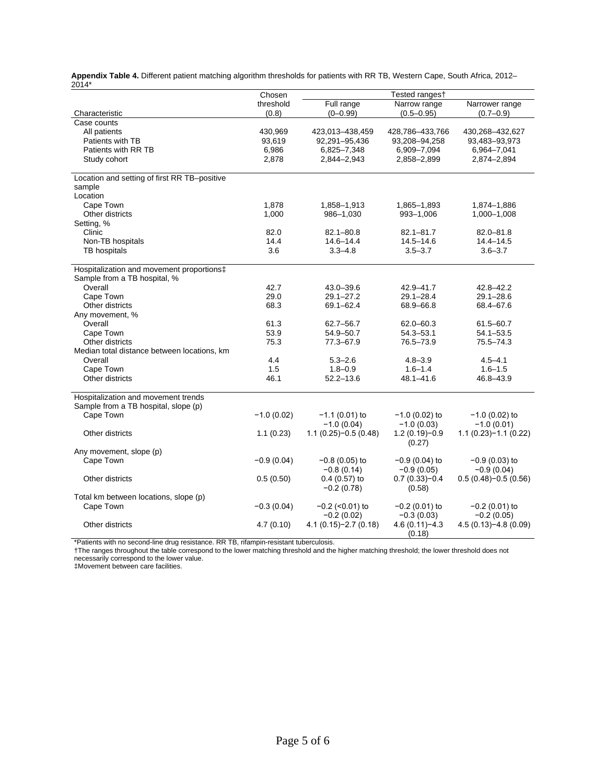|       | Appendix Table 4. Different patient matching algorithm thresholds for patients with RR TB, Western Cape, South Africa, 2012– |  |  |  |
|-------|------------------------------------------------------------------------------------------------------------------------------|--|--|--|
| 2014* |                                                                                                                              |  |  |  |

|                                              | Chosen       |                                   | Tested ranges†                   |                                  |
|----------------------------------------------|--------------|-----------------------------------|----------------------------------|----------------------------------|
|                                              | threshold    | Full range                        | Narrow range                     | Narrower range                   |
| Characteristic                               | (0.8)        | $(0 - 0.99)$                      | $(0.5 - 0.95)$                   | $(0.7 - 0.9)$                    |
| Case counts                                  |              |                                   |                                  |                                  |
| All patients                                 | 430,969      | 423,013-438,459                   | 428,786-433,766                  | 430,268-432,627                  |
| Patients with TB                             | 93,619       | 92,291-95,436                     | 93,208-94,258                    | 93,483-93,973                    |
| Patients with RR TB                          | 6,986        | 6,825-7,348                       | 6,909-7,094                      | 6,964-7,041                      |
| Study cohort                                 | 2,878        | 2,844-2,943                       | 2,858-2,899                      | 2,874-2,894                      |
| Location and setting of first RR TB-positive |              |                                   |                                  |                                  |
| sample                                       |              |                                   |                                  |                                  |
| Location                                     |              |                                   |                                  |                                  |
| Cape Town                                    | 1,878        | 1,858-1,913                       | 1,865-1,893                      | 1,874-1,886                      |
| Other districts                              | 1,000        | 986-1,030                         | 993-1,006                        | 1,000-1,008                      |
| Setting, %                                   |              |                                   |                                  |                                  |
| Clinic                                       | 82.0         | $82.1 - 80.8$                     | $82.1 - 81.7$                    | $82.0 - 81.8$                    |
| Non-TB hospitals                             | 14.4         | $14.6 - 14.4$                     | $14.5 - 14.6$                    | $14.4 - 14.5$                    |
| TB hospitals                                 | 3.6          | $3.3 - 4.8$                       | $3.5 - 3.7$                      | $3.6 - 3.7$                      |
| Hospitalization and movement proportions‡    |              |                                   |                                  |                                  |
| Sample from a TB hospital, %                 |              |                                   |                                  |                                  |
| Overall                                      | 42.7         | 43.0-39.6                         | 42.9-41.7                        | $42.8 - 42.2$                    |
| Cape Town                                    | 29.0         | $29.1 - 27.2$                     | $29.1 - 28.4$                    | $29.1 - 28.6$                    |
| Other districts                              | 68.3         | 69.1-62.4                         | 68.9-66.8                        | 68.4-67.6                        |
| Any movement, %                              |              |                                   |                                  |                                  |
| Overall                                      | 61.3         | 62.7-56.7                         | $62.0 - 60.3$                    | $61.5 - 60.7$                    |
| Cape Town                                    | 53.9         | 54.9-50.7                         | $54.3 - 53.1$                    | $54.1 - 53.5$                    |
| Other districts                              | 75.3         | 77.3-67.9                         | 76.5-73.9                        | 75.5-74.3                        |
| Median total distance between locations, km  |              |                                   |                                  |                                  |
| Overall                                      | 4.4          | $5.3 - 2.6$                       | $4.8 - 3.9$                      | $4.5 - 4.1$                      |
| Cape Town                                    | 1.5          | $1.8 - 0.9$                       | $1.6 - 1.4$                      | $1.6 - 1.5$                      |
| Other districts                              | 46.1         | $52.2 - 13.6$                     | $48.1 - 41.6$                    | 46.8-43.9                        |
| Hospitalization and movement trends          |              |                                   |                                  |                                  |
| Sample from a TB hospital, slope (p)         |              |                                   |                                  |                                  |
| Cape Town                                    | $-1.0(0.02)$ | $-1.1$ (0.01) to<br>$-1.0(0.04)$  | $-1.0$ (0.02) to<br>$-1.0(0.03)$ | $-1.0$ (0.02) to<br>$-1.0(0.01)$ |
| Other districts                              | 1.1(0.23)    | $1.1(0.25)-0.5(0.48)$             | $1.2(0.19)-0.9$                  | $1.1(0.23)-1.1(0.22)$            |
|                                              |              |                                   | (0.27)                           |                                  |
| Any movement, slope (p)                      |              |                                   |                                  |                                  |
| Cape Town                                    | $-0.9(0.04)$ | −0.8 (0.05) to                    | $-0.9(0.04)$ to                  | $-0.9(0.03)$ to                  |
|                                              |              | $-0.8(0.14)$                      | $-0.9(0.05)$                     | $-0.9(0.04)$                     |
| Other districts                              | 0.5(0.50)    | $0.4$ (0.57) to<br>$-0.2(0.78)$   | $0.7(0.33)-0.4$<br>(0.58)        | $0.5(0.48)-0.5(0.56)$            |
| Total km between locations, slope (p)        |              |                                   |                                  |                                  |
| Cape Town                                    | $-0.3(0.04)$ | $-0.2$ (<0.01) to<br>$-0.2(0.02)$ | $-0.2$ (0.01) to<br>$-0.3(0.03)$ | $-0.2$ (0.01) to<br>$-0.2(0.05)$ |
| Other districts                              | 4.7(0.10)    | $4.1(0.15)-2.7(0.18)$             | $4.6(0.11)-4.3$                  | $4.5(0.13)-4.8(0.09)$            |
|                                              |              |                                   | (0.18)                           |                                  |

\*Patients with no second-line drug resistance. RR TB, rifampin-resistant tuberculosis.

†The ranges throughout the table correspond to the lower matching threshold and the higher matching threshold; the lower threshold does not necessarily correspond to the lower value.

‡Movement between care facilities.